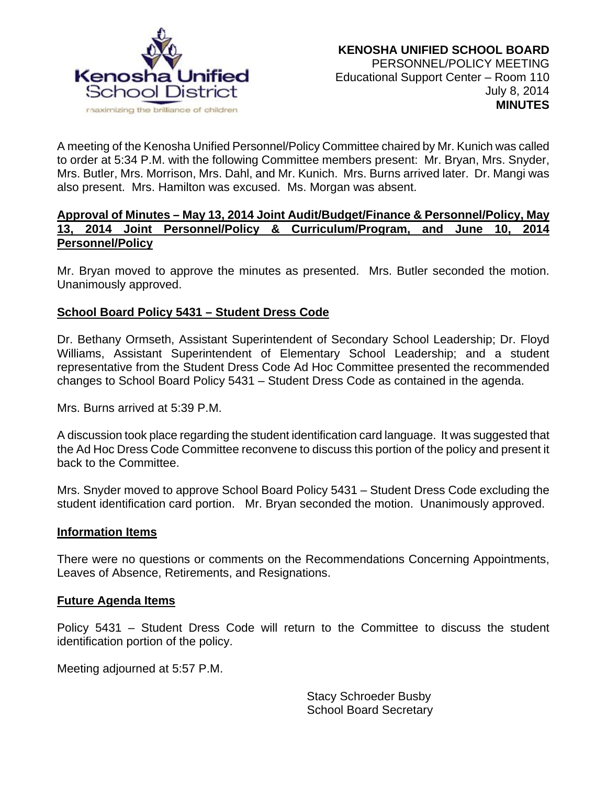

A meeting of the Kenosha Unified Personnel/Policy Committee chaired by Mr. Kunich was called to order at 5:34 P.M. with the following Committee members present: Mr. Bryan, Mrs. Snyder, Mrs. Butler, Mrs. Morrison, Mrs. Dahl, and Mr. Kunich. Mrs. Burns arrived later. Dr. Mangi was also present. Mrs. Hamilton was excused. Ms. Morgan was absent.

### **Approval of Minutes – May 13, 2014 Joint Audit/Budget/Finance & Personnel/Policy, May 13, 2014 Joint Personnel/Policy & Curriculum/Program, and June 10, 2014 Personnel/Policy**

Mr. Bryan moved to approve the minutes as presented. Mrs. Butler seconded the motion. Unanimously approved.

# **School Board Policy 5431 – Student Dress Code**

Dr. Bethany Ormseth, Assistant Superintendent of Secondary School Leadership; Dr. Floyd Williams, Assistant Superintendent of Elementary School Leadership; and a student representative from the Student Dress Code Ad Hoc Committee presented the recommended changes to School Board Policy 5431 – Student Dress Code as contained in the agenda.

Mrs. Burns arrived at 5:39 P.M.

A discussion took place regarding the student identification card language. It was suggested that the Ad Hoc Dress Code Committee reconvene to discuss this portion of the policy and present it back to the Committee.

Mrs. Snyder moved to approve School Board Policy 5431 – Student Dress Code excluding the student identification card portion. Mr. Bryan seconded the motion. Unanimously approved.

#### **Information Items**

There were no questions or comments on the Recommendations Concerning Appointments, Leaves of Absence, Retirements, and Resignations.

### **Future Agenda Items**

Policy 5431 – Student Dress Code will return to the Committee to discuss the student identification portion of the policy.

Meeting adjourned at 5:57 P.M.

Stacy Schroeder Busby School Board Secretary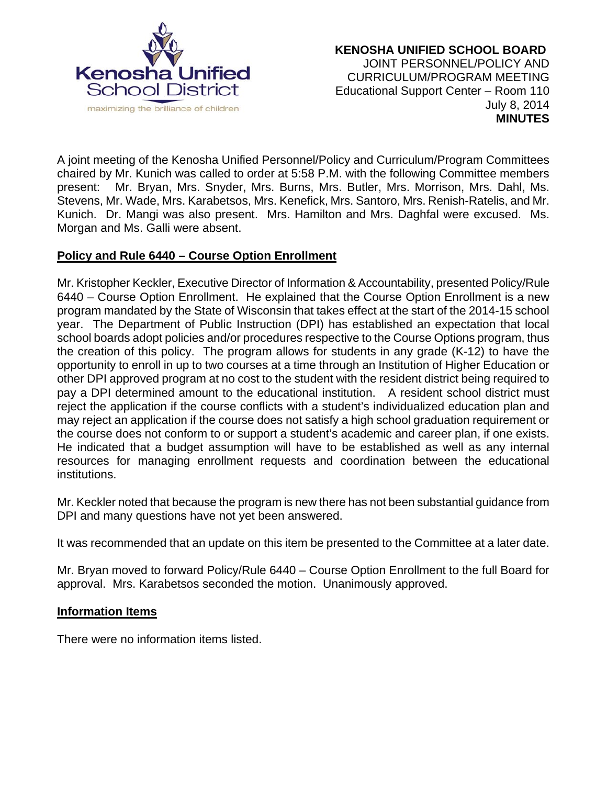

A joint meeting of the Kenosha Unified Personnel/Policy and Curriculum/Program Committees chaired by Mr. Kunich was called to order at 5:58 P.M. with the following Committee members present: Mr. Bryan, Mrs. Snyder, Mrs. Burns, Mrs. Butler, Mrs. Morrison, Mrs. Dahl, Ms. Stevens, Mr. Wade, Mrs. Karabetsos, Mrs. Kenefick, Mrs. Santoro, Mrs. Renish-Ratelis, and Mr. Kunich. Dr. Mangi was also present. Mrs. Hamilton and Mrs. Daghfal were excused. Ms. Morgan and Ms. Galli were absent.

# **Policy and Rule 6440 – Course Option Enrollment**

Mr. Kristopher Keckler, Executive Director of Information & Accountability, presented Policy/Rule 6440 – Course Option Enrollment. He explained that the Course Option Enrollment is a new program mandated by the State of Wisconsin that takes effect at the start of the 2014-15 school year. The Department of Public Instruction (DPI) has established an expectation that local school boards adopt policies and/or procedures respective to the Course Options program, thus the creation of this policy. The program allows for students in any grade (K-12) to have the opportunity to enroll in up to two courses at a time through an Institution of Higher Education or other DPI approved program at no cost to the student with the resident district being required to pay a DPI determined amount to the educational institution. A resident school district must reject the application if the course conflicts with a student's individualized education plan and may reject an application if the course does not satisfy a high school graduation requirement or the course does not conform to or support a student's academic and career plan, if one exists. He indicated that a budget assumption will have to be established as well as any internal resources for managing enrollment requests and coordination between the educational institutions.

Mr. Keckler noted that because the program is new there has not been substantial guidance from DPI and many questions have not yet been answered.

It was recommended that an update on this item be presented to the Committee at a later date.

Mr. Bryan moved to forward Policy/Rule 6440 – Course Option Enrollment to the full Board for approval. Mrs. Karabetsos seconded the motion. Unanimously approved.

# **Information Items**

There were no information items listed.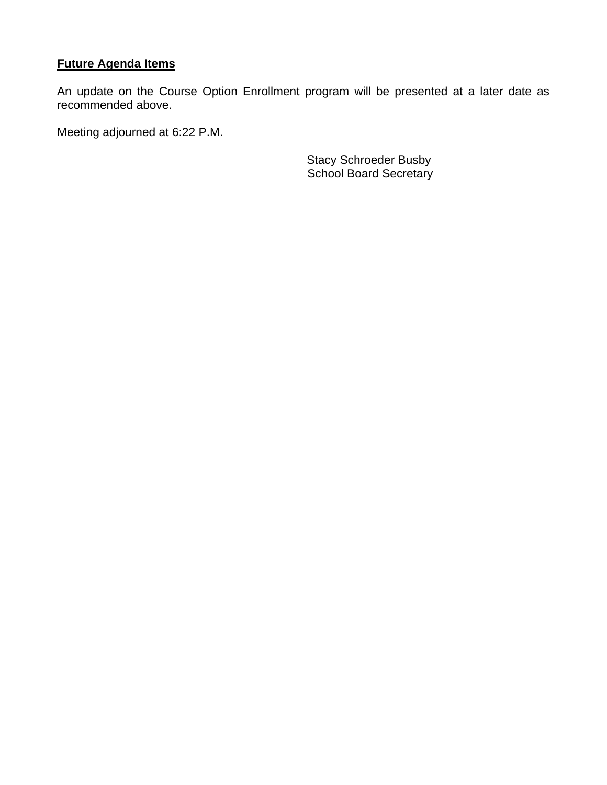# **Future Agenda Items**

An update on the Course Option Enrollment program will be presented at a later date as recommended above.

Meeting adjourned at 6:22 P.M.

Stacy Schroeder Busby School Board Secretary